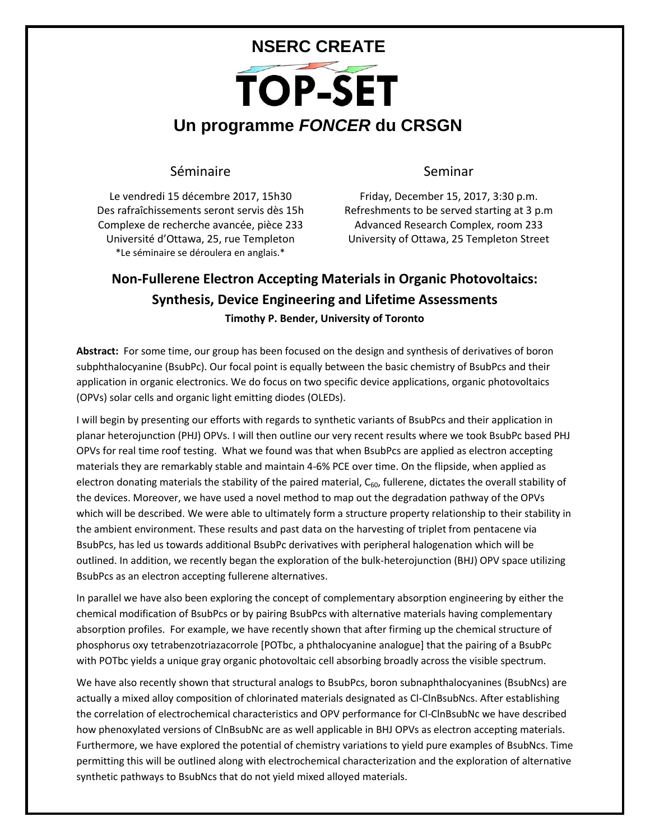## **NSERC CREATE** TOP-SET **Un programme** *FONCER* **du CRSGN**

## Séminaire **Seminar** Seminar

Le vendredi 15 décembre 2017, 15h30 Des rafraîchissements seront servis dès 15h Complexe de recherche avancée, pièce 233 Université d'Ottawa, 25, rue Templeton \*Le séminaire se déroulera en anglais.\*

Friday, December 15, 2017, 3:30 p.m. Refreshments to be served starting at 3 p.m Advanced Research Complex, room 233 University of Ottawa, 25 Templeton Street

## **Non-Fullerene Electron Accepting Materials in Organic Photovoltaics: Synthesis, Device Engineering and Lifetime Assessments Timothy P. Bender, University of Toronto**

**Abstract:** For some time, our group has been focused on the design and synthesis of derivatives of boron subphthalocyanine (BsubPc). Our focal point is equally between the basic chemistry of BsubPcs and their application in organic electronics. We do focus on two specific device applications, organic photovoltaics (OPVs) solar cells and organic light emitting diodes (OLEDs).

I will begin by presenting our efforts with regards to synthetic variants of BsubPcs and their application in planar heterojunction (PHJ) OPVs. I will then outline our very recent results where we took BsubPc based PHJ OPVs for real time roof testing. What we found was that when BsubPcs are applied as electron accepting materials they are remarkably stable and maintain 4-6% PCE over time. On the flipside, when applied as electron donating materials the stability of the paired material,  $C_{60}$ , fullerene, dictates the overall stability of the devices. Moreover, we have used a novel method to map out the degradation pathway of the OPVs which will be described. We were able to ultimately form a structure property relationship to their stability in the ambient environment. These results and past data on the harvesting of triplet from pentacene via BsubPcs, has led us towards additional BsubPc derivatives with peripheral halogenation which will be outlined. In addition, we recently began the exploration of the bulk-heterojunction (BHJ) OPV space utilizing BsubPcs as an electron accepting fullerene alternatives.

In parallel we have also been exploring the concept of complementary absorption engineering by either the chemical modification of BsubPcs or by pairing BsubPcs with alternative materials having complementary absorption profiles. For example, we have recently shown that after firming up the chemical structure of phosphorus oxy tetrabenzotriazacorrole [POTbc, a phthalocyanine analogue] that the pairing of a BsubPc with POTbc yields a unique gray organic photovoltaic cell absorbing broadly across the visible spectrum.

We have also recently shown that structural analogs to BsubPcs, boron subnaphthalocyanines (BsubNcs) are actually a mixed alloy composition of chlorinated materials designated as Cl-ClnBsubNcs. After establishing the correlation of electrochemical characteristics and OPV performance for Cl-ClnBsubNc we have described how phenoxylated versions of ClnBsubNc are as well applicable in BHJ OPVs as electron accepting materials. Furthermore, we have explored the potential of chemistry variations to yield pure examples of BsubNcs. Time permitting this will be outlined along with electrochemical characterization and the exploration of alternative synthetic pathways to BsubNcs that do not yield mixed alloyed materials.